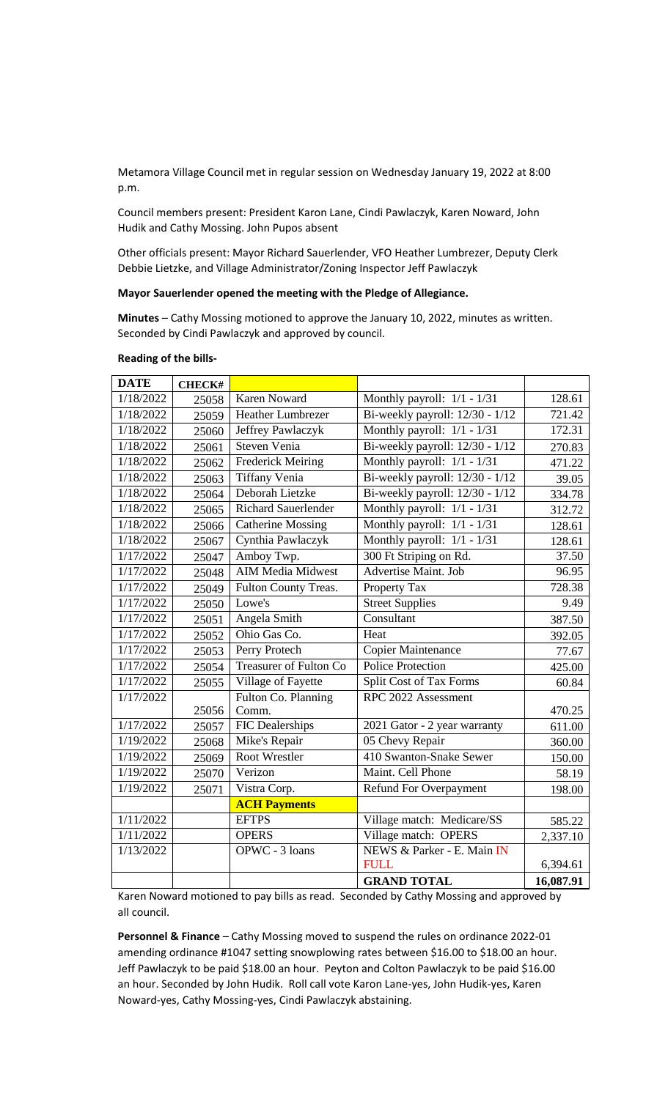Metamora Village Council met in regular session on Wednesday January 19, 2022 at 8:00 p.m.

Council members present: President Karon Lane, Cindi Pawlaczyk, Karen Noward, John Hudik and Cathy Mossing. John Pupos absent

Other officials present: Mayor Richard Sauerlender, VFO Heather Lumbrezer, Deputy Clerk Debbie Lietzke, and Village Administrator/Zoning Inspector Jeff Pawlaczyk

## **Mayor Sauerlender opened the meeting with the Pledge of Allegiance.**

**Minutes** – Cathy Mossing motioned to approve the January 10, 2022, minutes as written. Seconded by Cindi Pawlaczyk and approved by council.

## **Reading of the bills-**

| <b>DATE</b> | <b>CHECK#</b> |                               |                                 |           |
|-------------|---------------|-------------------------------|---------------------------------|-----------|
| 1/18/2022   | 25058         | Karen Noward                  | Monthly payroll: 1/1 - 1/31     | 128.61    |
| 1/18/2022   | 25059         | <b>Heather Lumbrezer</b>      | Bi-weekly payroll: 12/30 - 1/12 | 721.42    |
| 1/18/2022   | 25060         | Jeffrey Pawlaczyk             | Monthly payroll: 1/1 - 1/31     | 172.31    |
| 1/18/2022   | 25061         | Steven Venia                  | Bi-weekly payroll: 12/30 - 1/12 | 270.83    |
| 1/18/2022   | 25062         | <b>Frederick Meiring</b>      | Monthly payroll: $1/1 - 1/31$   | 471.22    |
| 1/18/2022   | 25063         | <b>Tiffany Venia</b>          | Bi-weekly payroll: 12/30 - 1/12 | 39.05     |
| 1/18/2022   | 25064         | Deborah Lietzke               | Bi-weekly payroll: 12/30 - 1/12 | 334.78    |
| 1/18/2022   | 25065         | <b>Richard Sauerlender</b>    | Monthly payroll: $1/1 - 1/31$   | 312.72    |
| 1/18/2022   | 25066         | <b>Catherine Mossing</b>      | Monthly payroll: 1/1 - 1/31     | 128.61    |
| 1/18/2022   | 25067         | Cynthia Pawlaczyk             | Monthly payroll: 1/1 - 1/31     | 128.61    |
| 1/17/2022   | 25047         | Amboy Twp.                    | 300 Ft Striping on Rd.          | 37.50     |
| 1/17/2022   | 25048         | <b>AIM Media Midwest</b>      | Advertise Maint. Job            | 96.95     |
| 1/17/2022   | 25049         | Fulton County Treas.          | Property Tax                    | 728.38    |
| 1/17/2022   | 25050         | Lowe's                        | <b>Street Supplies</b>          | 9.49      |
| 1/17/2022   | 25051         | Angela Smith                  | Consultant                      | 387.50    |
| 1/17/2022   | 25052         | Ohio Gas Co.                  | Heat                            | 392.05    |
| 1/17/2022   | 25053         | Perry Protech                 | <b>Copier Maintenance</b>       | 77.67     |
| 1/17/2022   | 25054         | <b>Treasurer of Fulton Co</b> | <b>Police Protection</b>        | 425.00    |
| 1/17/2022   | 25055         | Village of Fayette            | <b>Split Cost of Tax Forms</b>  | 60.84     |
| 1/17/2022   |               | Fulton Co. Planning           | RPC 2022 Assessment             |           |
|             | 25056         | Comm.                         |                                 | 470.25    |
| 1/17/2022   | 25057         | <b>FIC Dealerships</b>        | 2021 Gator - 2 year warranty    | 611.00    |
| 1/19/2022   | 25068         | Mike's Repair                 | 05 Chevy Repair                 | 360.00    |
| 1/19/2022   | 25069         | <b>Root Wrestler</b>          | 410 Swanton-Snake Sewer         | 150.00    |
| 1/19/2022   | 25070         | Verizon                       | Maint. Cell Phone               | 58.19     |
| 1/19/2022   | 25071         | Vistra Corp.                  | <b>Refund For Overpayment</b>   | 198.00    |
|             |               | <b>ACH Payments</b>           |                                 |           |
| 1/11/2022   |               | <b>EFTPS</b>                  | Village match: Medicare/SS      | 585.22    |
| 1/11/2022   |               | <b>OPERS</b>                  | Village match: OPERS            | 2,337.10  |
| 1/13/2022   |               | OPWC - 3 loans                | NEWS & Parker - E. Main IN      |           |
|             |               |                               | <b>FULL</b>                     | 6,394.61  |
|             |               |                               | <b>GRAND TOTAL</b>              | 16,087.91 |

Karen Noward motioned to pay bills as read. Seconded by Cathy Mossing and approved by all council.

**Personnel & Finance** – Cathy Mossing moved to suspend the rules on ordinance 2022-01 amending ordinance #1047 setting snowplowing rates between \$16.00 to \$18.00 an hour. Jeff Pawlaczyk to be paid \$18.00 an hour. Peyton and Colton Pawlaczyk to be paid \$16.00 an hour. Seconded by John Hudik. Roll call vote Karon Lane-yes, John Hudik-yes, Karen Noward-yes, Cathy Mossing-yes, Cindi Pawlaczyk abstaining.